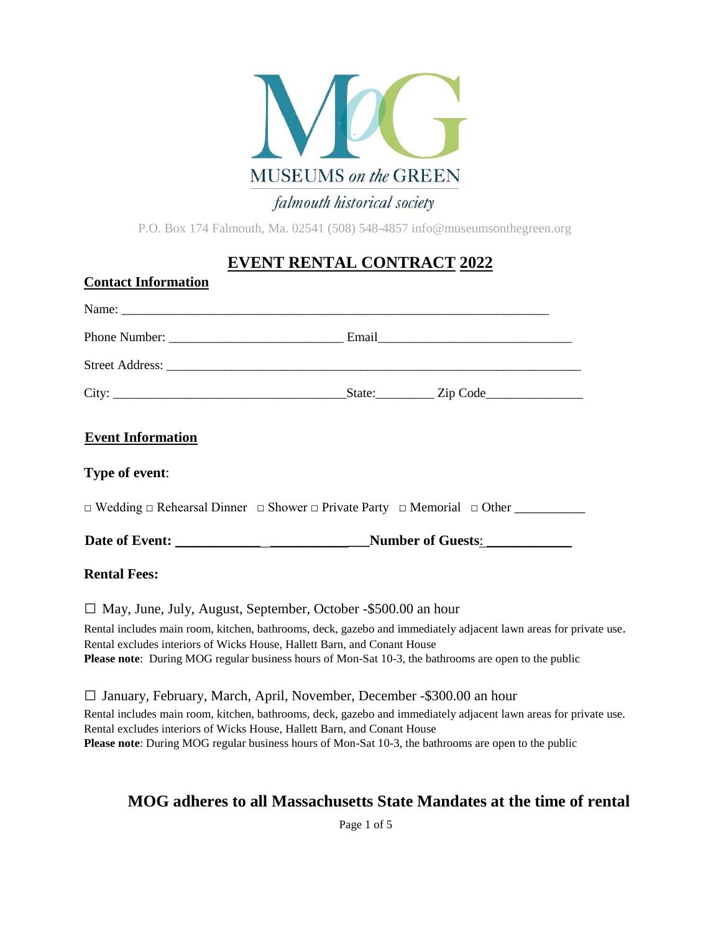

P.O. Box 174 Falmouth, Ma. 02541 (508) 548-4857 info@museumsonthegreen.org

# **EVENT RENTAL CONTRACT 2022**

| <b>Contact Information</b>                                                                                                     |  |
|--------------------------------------------------------------------------------------------------------------------------------|--|
|                                                                                                                                |  |
|                                                                                                                                |  |
|                                                                                                                                |  |
|                                                                                                                                |  |
| <b>Event Information</b>                                                                                                       |  |
| Type of event:                                                                                                                 |  |
|                                                                                                                                |  |
|                                                                                                                                |  |
| <b>Rental Fees:</b>                                                                                                            |  |
| $\Box$ May, June, July, August, September, October -\$500.00 an hour                                                           |  |
| $\mathbf{D}$ and that the matrix of the final matrix and the contract of the fit of the contract $\mathbf{C}$ and $\mathbf{C}$ |  |

Rental includes main room, kitchen, bathrooms, deck, gazebo and immediately adjacent lawn areas for private use. Rental excludes interiors of Wicks House, Hallett Barn, and Conant House **Please note**: During MOG regular business hours of Mon-Sat 10-3, the bathrooms are open to the public

□ January, February, March, April, November, December -\$300.00 an hour Rental includes main room, kitchen, bathrooms, deck, gazebo and immediately adjacent lawn areas for private use. Rental excludes interiors of Wicks House, Hallett Barn, and Conant House **Please note**: During MOG regular business hours of Mon-Sat 10-3, the bathrooms are open to the public

# **MOG adheres to all Massachusetts State Mandates at the time of rental**

Page 1 of 5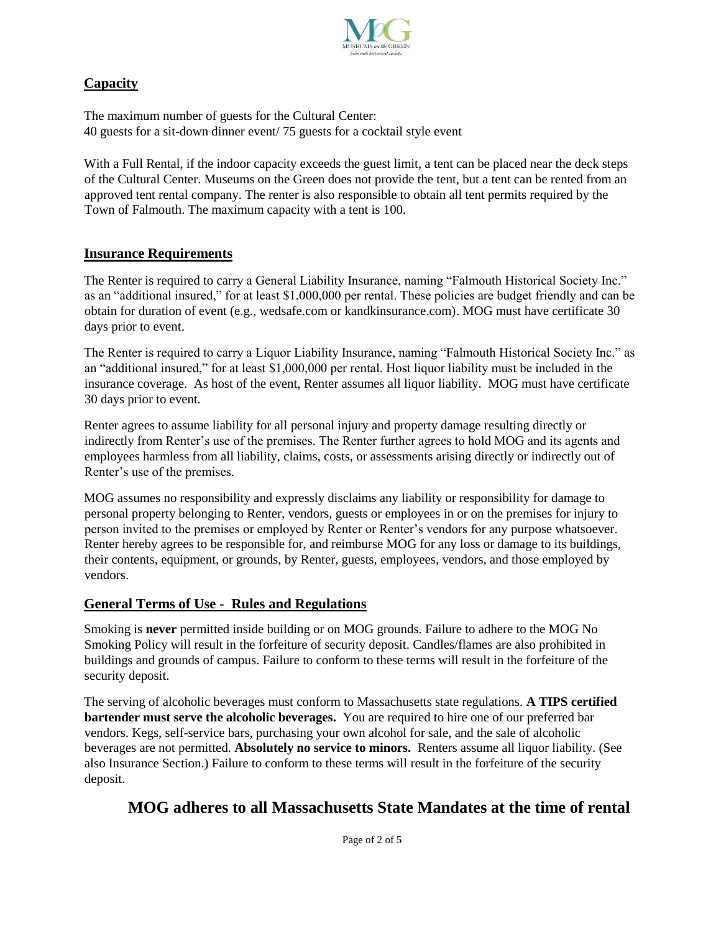

### **Capacity**

The maximum number of guests for the Cultural Center: 40 guests for a sit-down dinner event/ 75 guests for a cocktail style event

With a Full Rental, if the indoor capacity exceeds the guest limit, a tent can be placed near the deck steps of the Cultural Center. Museums on the Green does not provide the tent, but a tent can be rented from an approved tent rental company. The renter is also responsible to obtain all tent permits required by the Town of Falmouth. The maximum capacity with a tent is 100.

### **Insurance Requirements**

The Renter is required to carry a General Liability Insurance, naming "Falmouth Historical Society Inc." as an "additional insured," for at least \$1,000,000 per rental. These policies are budget friendly and can be obtain for duration of event (e.g., wedsafe.com or kandkinsurance.com). MOG must have certificate 30 days prior to event.

The Renter is required to carry a Liquor Liability Insurance, naming "Falmouth Historical Society Inc." as an "additional insured," for at least \$1,000,000 per rental. Host liquor liability must be included in the insurance coverage. As host of the event, Renter assumes all liquor liability. MOG must have certificate 30 days prior to event.

Renter agrees to assume liability for all personal injury and property damage resulting directly or indirectly from Renter's use of the premises. The Renter further agrees to hold MOG and its agents and employees harmless from all liability, claims, costs, or assessments arising directly or indirectly out of Renter's use of the premises.

MOG assumes no responsibility and expressly disclaims any liability or responsibility for damage to personal property belonging to Renter, vendors, guests or employees in or on the premises for injury to person invited to the premises or employed by Renter or Renter's vendors for any purpose whatsoever. Renter hereby agrees to be responsible for, and reimburse MOG for any loss or damage to its buildings, their contents, equipment, or grounds, by Renter, guests, employees, vendors, and those employed by vendors.

### **General Terms of Use - Rules and Regulations**

Smoking is **never** permitted inside building or on MOG grounds. Failure to adhere to the MOG No Smoking Policy will result in the forfeiture of security deposit. Candles/flames are also prohibited in buildings and grounds of campus. Failure to conform to these terms will result in the forfeiture of the security deposit.

The serving of alcoholic beverages must conform to Massachusetts state regulations. **A TIPS certified bartender must serve the alcoholic beverages.** You are required to hire one of our preferred bar vendors. Kegs, self-service bars, purchasing your own alcohol for sale, and the sale of alcoholic beverages are not permitted. **Absolutely no service to minors.** Renters assume all liquor liability. (See also Insurance Section.) Failure to conform to these terms will result in the forfeiture of the security deposit.

# **MOG adheres to all Massachusetts State Mandates at the time of rental**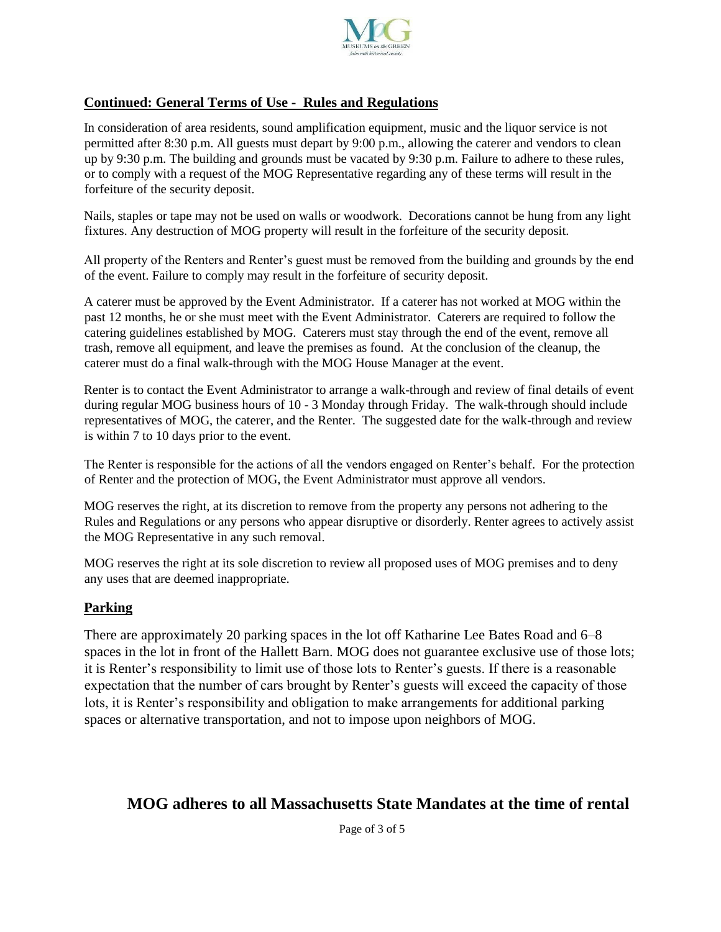

### **Continued: General Terms of Use - Rules and Regulations**

In consideration of area residents, sound amplification equipment, music and the liquor service is not permitted after 8:30 p.m. All guests must depart by 9:00 p.m., allowing the caterer and vendors to clean up by 9:30 p.m. The building and grounds must be vacated by 9:30 p.m. Failure to adhere to these rules, or to comply with a request of the MOG Representative regarding any of these terms will result in the forfeiture of the security deposit.

Nails, staples or tape may not be used on walls or woodwork. Decorations cannot be hung from any light fixtures. Any destruction of MOG property will result in the forfeiture of the security deposit.

All property of the Renters and Renter's guest must be removed from the building and grounds by the end of the event. Failure to comply may result in the forfeiture of security deposit.

A caterer must be approved by the Event Administrator. If a caterer has not worked at MOG within the past 12 months, he or she must meet with the Event Administrator. Caterers are required to follow the catering guidelines established by MOG. Caterers must stay through the end of the event, remove all trash, remove all equipment, and leave the premises as found. At the conclusion of the cleanup, the caterer must do a final walk-through with the MOG House Manager at the event.

Renter is to contact the Event Administrator to arrange a walk-through and review of final details of event during regular MOG business hours of 10 - 3 Monday through Friday. The walk-through should include representatives of MOG, the caterer, and the Renter. The suggested date for the walk-through and review is within 7 to 10 days prior to the event.

The Renter is responsible for the actions of all the vendors engaged on Renter's behalf. For the protection of Renter and the protection of MOG, the Event Administrator must approve all vendors.

MOG reserves the right, at its discretion to remove from the property any persons not adhering to the Rules and Regulations or any persons who appear disruptive or disorderly. Renter agrees to actively assist the MOG Representative in any such removal.

MOG reserves the right at its sole discretion to review all proposed uses of MOG premises and to deny any uses that are deemed inappropriate.

#### **Parking**

There are approximately 20 parking spaces in the lot off Katharine Lee Bates Road and 6–8 spaces in the lot in front of the Hallett Barn. MOG does not guarantee exclusive use of those lots; it is Renter's responsibility to limit use of those lots to Renter's guests. If there is a reasonable expectation that the number of cars brought by Renter's guests will exceed the capacity of those lots, it is Renter's responsibility and obligation to make arrangements for additional parking spaces or alternative transportation, and not to impose upon neighbors of MOG.

### **MOG adheres to all Massachusetts State Mandates at the time of rental**

Page of 3 of 5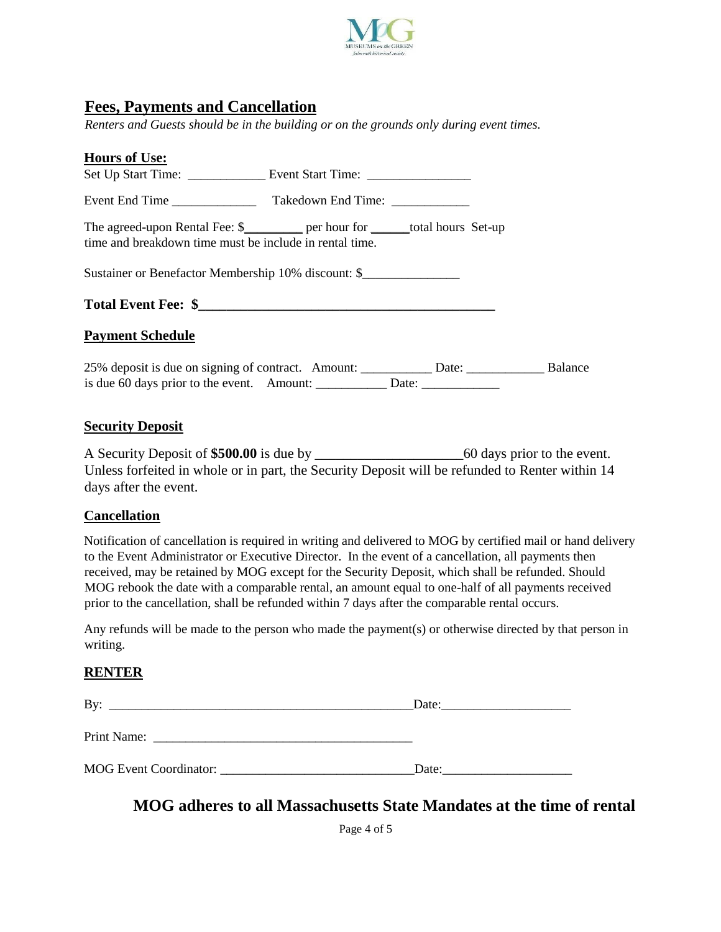

## **Fees, Payments and Cancellation**

*Renters and Guests should be in the building or on the grounds only during event times.* 

| <b>Hours of Use:</b>                                    |                                                                                              |  |  |  |  |
|---------------------------------------------------------|----------------------------------------------------------------------------------------------|--|--|--|--|
|                                                         |                                                                                              |  |  |  |  |
|                                                         |                                                                                              |  |  |  |  |
| time and breakdown time must be include in rental time. | The agreed-upon Rental Fee: \$__________ per hour for _______total hours Set-up              |  |  |  |  |
| Sustainer or Benefactor Membership 10% discount: \$     |                                                                                              |  |  |  |  |
|                                                         |                                                                                              |  |  |  |  |
| <b>Payment Schedule</b>                                 |                                                                                              |  |  |  |  |
|                                                         | 25% deposit is due on signing of contract. Amount: _____________ Date: _____________ Balance |  |  |  |  |

#### **Security Deposit**

A Security Deposit of **\$500.00** is due by \_\_\_\_\_\_\_\_\_\_\_\_\_\_\_\_\_\_\_\_\_60 days prior to the event. Unless forfeited in whole or in part, the Security Deposit will be refunded to Renter within 14 days after the event.

#### **Cancellation**

Notification of cancellation is required in writing and delivered to MOG by certified mail or hand delivery to the Event Administrator or Executive Director. In the event of a cancellation, all payments then received, may be retained by MOG except for the Security Deposit, which shall be refunded. Should MOG rebook the date with a comparable rental, an amount equal to one-half of all payments received prior to the cancellation, shall be refunded within 7 days after the comparable rental occurs.

Any refunds will be made to the person who made the payment(s) or otherwise directed by that person in writing.

#### **RENTER**

| By:                                                                                                                                                                                                                                                 | Date: |  |  |
|-----------------------------------------------------------------------------------------------------------------------------------------------------------------------------------------------------------------------------------------------------|-------|--|--|
| Print Name:<br><u>and the control of the control of the control of the control of the control of the control of the control of the control of the control of the control of the control of the control of the control of the control of the con</u> |       |  |  |
| MOG Event Coordinator: _______________                                                                                                                                                                                                              | Date: |  |  |

### **MOG adheres to all Massachusetts State Mandates at the time of rental**

Page 4 of 5